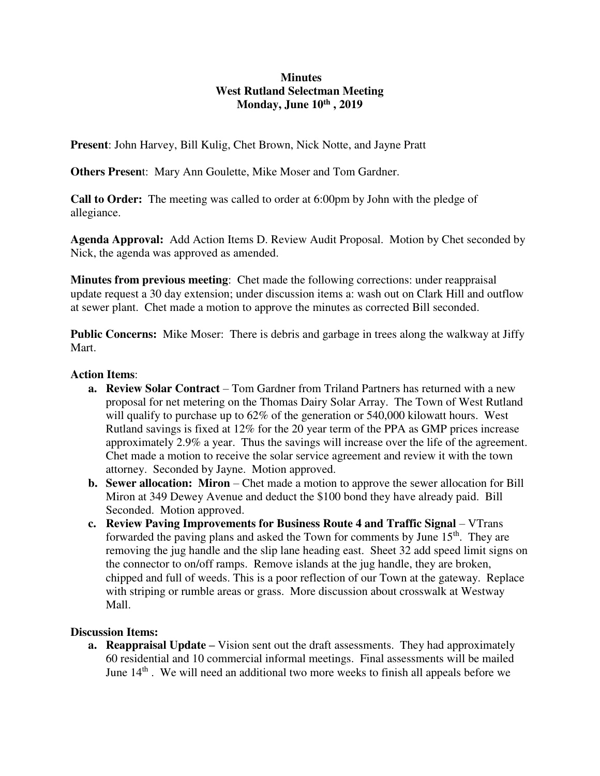### **Minutes West Rutland Selectman Meeting Monday, June 10th , 2019**

**Present**: John Harvey, Bill Kulig, Chet Brown, Nick Notte, and Jayne Pratt

**Others Presen**t: Mary Ann Goulette, Mike Moser and Tom Gardner.

**Call to Order:** The meeting was called to order at 6:00pm by John with the pledge of allegiance.

**Agenda Approval:** Add Action Items D. Review Audit Proposal. Motion by Chet seconded by Nick, the agenda was approved as amended.

**Minutes from previous meeting**: Chet made the following corrections: under reappraisal update request a 30 day extension; under discussion items a: wash out on Clark Hill and outflow at sewer plant. Chet made a motion to approve the minutes as corrected Bill seconded.

**Public Concerns:** Mike Moser: There is debris and garbage in trees along the walkway at Jiffy Mart.

#### **Action Items**:

- **a.** Review Solar Contract Tom Gardner from Triland Partners has returned with a new proposal for net metering on the Thomas Dairy Solar Array. The Town of West Rutland will qualify to purchase up to 62% of the generation or 540,000 kilowatt hours. West Rutland savings is fixed at 12% for the 20 year term of the PPA as GMP prices increase approximately 2.9% a year. Thus the savings will increase over the life of the agreement. Chet made a motion to receive the solar service agreement and review it with the town attorney. Seconded by Jayne. Motion approved.
- **b. Sewer allocation: Miron** Chet made a motion to approve the sewer allocation for Bill Miron at 349 Dewey Avenue and deduct the \$100 bond they have already paid. Bill Seconded. Motion approved.
- **c. Review Paving Improvements for Business Route 4 and Traffic Signal VTrans** forwarded the paving plans and asked the Town for comments by June  $15<sup>th</sup>$ . They are removing the jug handle and the slip lane heading east. Sheet 32 add speed limit signs on the connector to on/off ramps. Remove islands at the jug handle, they are broken, chipped and full of weeds. This is a poor reflection of our Town at the gateway. Replace with striping or rumble areas or grass. More discussion about crosswalk at Westway Mall.

### **Discussion Items:**

**a. Reappraisal Update** – Vision sent out the draft assessments. They had approximately 60 residential and 10 commercial informal meetings. Final assessments will be mailed June  $14<sup>th</sup>$ . We will need an additional two more weeks to finish all appeals before we